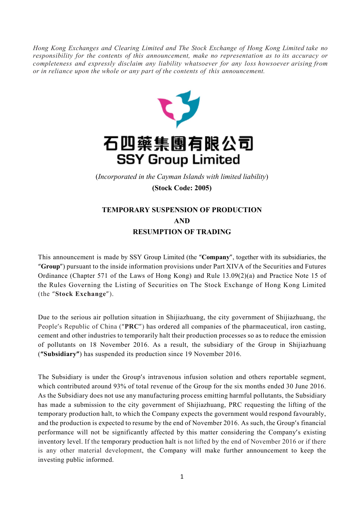*Hong Kong Exchanges and Clearing Limited and The Stock Exchange of Hong Kong Limited take no responsibility for the contents of this announcement, make no representation as to its accuracy or completeness and expressly disclaim any liability whatsoever for any loss howsoever arising from or in reliance upon the whole or any part of the contents of this announcement.*



## 石四藥集團有限公司 **SSY Group Limited**

(*Incorporated in the Cayman Islands with limited liability*)

(Stock Code: 2005)

## TEMPORARY SUSPENSION OF PRODUCTION AND RESUMPTION OF TRADING

This announcement is made by SSY Group Limited (the "Company", together with its subsidiaries, the "Group") pursuant to the inside information provisions under Part XIVA of the Securities and Futures Ordinance (Chapter 571 of the Laws of Hong Kong) and Rule 13.09(2)(a) and Practice Note 15 of the Rules Governing the Listing of Securities on The Stock Exchange of Hong Kong Limited (the "Stock Exchange").

Due to the serious air pollution situation in Shijiazhuang, the city government of Shijiazhuang, the People's Republic of China ("PRC") has ordered all companies of the pharmaceutical, iron casting, cement and other industries to temporarily halt their production processes so as to reduce the emission of pollutants on 18 November 2016. As a result, the subsidiary of the Group in Shijiazhuang ("Subsidiary") has suspended its production since 19 November 2016.

The Subsidiary is under the Group's intravenous infusion solution and others reportable segment, which contributed around 93% of total revenue of the Group for the six months ended 30 June 2016. As the Subsidiary does not use any manufacturing process emitting harmful pollutants, the Subsidiary has made a submission to the city government of Shijiazhuang, PRC requesting the lifting of the temporary production halt, to which the Company expects the government would respond favourably, and the production is expected to resume by the end of November 2016. As such, the Group's financial performance will not be significantly affected by this matter considering the Company's existing inventory level. If the temporary production halt is not lifted by the end of November 2016 or if there is any other material development, the Company will make further announcement to keep the investing public informed.